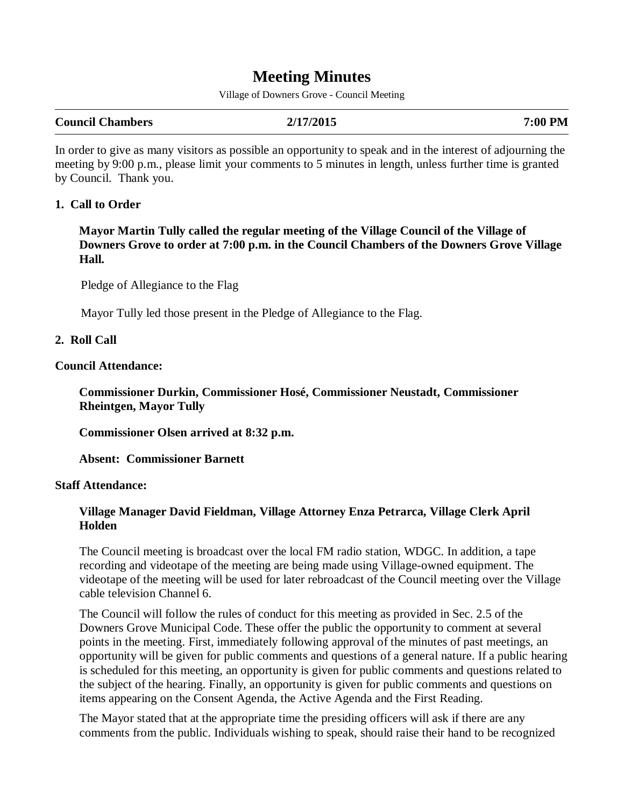# **Meeting Minutes**

Village of Downers Grove - Council Meeting

| 2/17/2015<br>7:00 PM |
|----------------------|
|                      |

In order to give as many visitors as possible an opportunity to speak and in the interest of adjourning the meeting by 9:00 p.m., please limit your comments to 5 minutes in length, unless further time is granted by Council. Thank you.

#### **1. Call to Order**

 **Mayor Martin Tully called the regular meeting of the Village Council of the Village of Downers Grove to order at 7:00 p.m. in the Council Chambers of the Downers Grove Village Hall.** 

Pledge of Allegiance to the Flag

Mayor Tully led those present in the Pledge of Allegiance to the Flag.

#### **2. Roll Call**

#### **Council Attendance:**

 **Commissioner Durkin, Commissioner Hosé, Commissioner Neustadt, Commissioner Rheintgen, Mayor Tully**

 **Commissioner Olsen arrived at 8:32 p.m.** 

 **Absent: Commissioner Barnett** 

#### **Staff Attendance:**

### **Village Manager David Fieldman, Village Attorney Enza Petrarca, Village Clerk April Holden**

The Council meeting is broadcast over the local FM radio station, WDGC. In addition, a tape recording and videotape of the meeting are being made using Village-owned equipment. The videotape of the meeting will be used for later rebroadcast of the Council meeting over the Village cable television Channel 6.

The Council will follow the rules of conduct for this meeting as provided in Sec. 2.5 of the Downers Grove Municipal Code. These offer the public the opportunity to comment at several points in the meeting. First, immediately following approval of the minutes of past meetings, an opportunity will be given for public comments and questions of a general nature. If a public hearing is scheduled for this meeting, an opportunity is given for public comments and questions related to the subject of the hearing. Finally, an opportunity is given for public comments and questions on items appearing on the Consent Agenda, the Active Agenda and the First Reading.

The Mayor stated that at the appropriate time the presiding officers will ask if there are any comments from the public. Individuals wishing to speak, should raise their hand to be recognized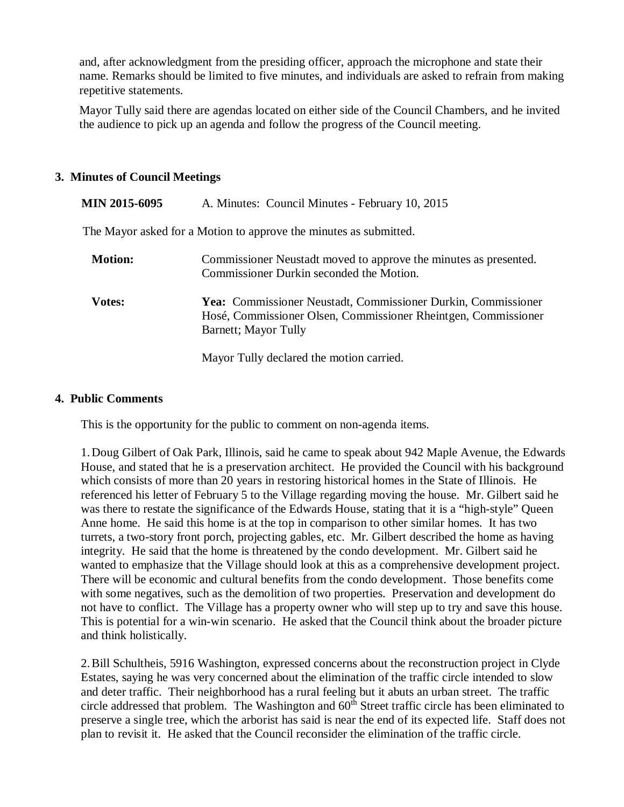and, after acknowledgment from the presiding officer, approach the microphone and state their name. Remarks should be limited to five minutes, and individuals are asked to refrain from making repetitive statements.

Mayor Tully said there are agendas located on either side of the Council Chambers, and he invited the audience to pick up an agenda and follow the progress of the Council meeting.

### **3. Minutes of Council Meetings**

| <b>MIN 2015-6095</b> | A. Minutes: Council Minutes - February 10, 2015                                                                                                                |
|----------------------|----------------------------------------------------------------------------------------------------------------------------------------------------------------|
|                      | The Mayor asked for a Motion to approve the minutes as submitted.                                                                                              |
| <b>Motion:</b>       | Commissioner Neustadt moved to approve the minutes as presented.<br>Commissioner Durkin seconded the Motion.                                                   |
| <b>Votes:</b>        | <b>Yea:</b> Commissioner Neustadt, Commissioner Durkin, Commissioner<br>Hosé, Commissioner Olsen, Commissioner Rheintgen, Commissioner<br>Barnett; Mayor Tully |
|                      | Mayor Tully declared the motion carried.                                                                                                                       |

## **4. Public Comments**

This is the opportunity for the public to comment on non-agenda items.

1. Doug Gilbert of Oak Park, Illinois, said he came to speak about 942 Maple Avenue, the Edwards House, and stated that he is a preservation architect. He provided the Council with his background which consists of more than 20 years in restoring historical homes in the State of Illinois. He referenced his letter of February 5 to the Village regarding moving the house. Mr. Gilbert said he was there to restate the significance of the Edwards House, stating that it is a "high-style" Queen Anne home. He said this home is at the top in comparison to other similar homes. It has two turrets, a two-story front porch, projecting gables, etc. Mr. Gilbert described the home as having integrity. He said that the home is threatened by the condo development. Mr. Gilbert said he wanted to emphasize that the Village should look at this as a comprehensive development project. There will be economic and cultural benefits from the condo development. Those benefits come with some negatives, such as the demolition of two properties. Preservation and development do not have to conflict. The Village has a property owner who will step up to try and save this house. This is potential for a win-win scenario. He asked that the Council think about the broader picture and think holistically.

2. Bill Schultheis, 5916 Washington, expressed concerns about the reconstruction project in Clyde Estates, saying he was very concerned about the elimination of the traffic circle intended to slow and deter traffic. Their neighborhood has a rural feeling but it abuts an urban street. The traffic circle addressed that problem. The Washington and  $60<sup>th</sup>$  Street traffic circle has been eliminated to preserve a single tree, which the arborist has said is near the end of its expected life. Staff does not plan to revisit it. He asked that the Council reconsider the elimination of the traffic circle.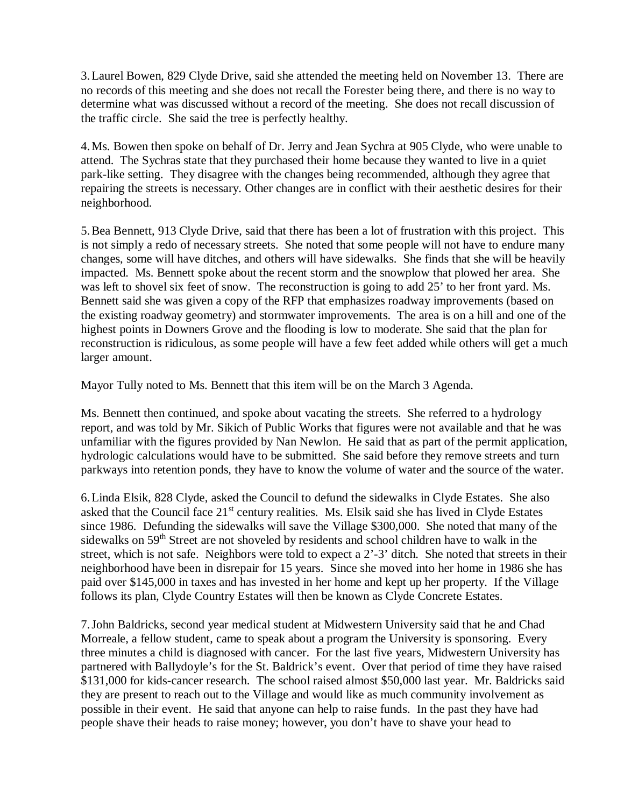3. Laurel Bowen, 829 Clyde Drive, said she attended the meeting held on November 13. There are no records of this meeting and she does not recall the Forester being there, and there is no way to determine what was discussed without a record of the meeting. She does not recall discussion of the traffic circle. She said the tree is perfectly healthy.

4. Ms. Bowen then spoke on behalf of Dr. Jerry and Jean Sychra at 905 Clyde, who were unable to attend. The Sychras state that they purchased their home because they wanted to live in a quiet park-like setting. They disagree with the changes being recommended, although they agree that repairing the streets is necessary. Other changes are in conflict with their aesthetic desires for their neighborhood.

5. Bea Bennett, 913 Clyde Drive, said that there has been a lot of frustration with this project. This is not simply a redo of necessary streets. She noted that some people will not have to endure many changes, some will have ditches, and others will have sidewalks. She finds that she will be heavily impacted. Ms. Bennett spoke about the recent storm and the snowplow that plowed her area. She was left to shovel six feet of snow. The reconstruction is going to add 25' to her front yard. Ms. Bennett said she was given a copy of the RFP that emphasizes roadway improvements (based on the existing roadway geometry) and stormwater improvements. The area is on a hill and one of the highest points in Downers Grove and the flooding is low to moderate. She said that the plan for reconstruction is ridiculous, as some people will have a few feet added while others will get a much larger amount.

Mayor Tully noted to Ms. Bennett that this item will be on the March 3 Agenda.

Ms. Bennett then continued, and spoke about vacating the streets. She referred to a hydrology report, and was told by Mr. Sikich of Public Works that figures were not available and that he was unfamiliar with the figures provided by Nan Newlon. He said that as part of the permit application, hydrologic calculations would have to be submitted. She said before they remove streets and turn parkways into retention ponds, they have to know the volume of water and the source of the water.

6. Linda Elsik, 828 Clyde, asked the Council to defund the sidewalks in Clyde Estates. She also asked that the Council face 21<sup>st</sup> century realities. Ms. Elsik said she has lived in Clyde Estates since 1986. Defunding the sidewalks will save the Village \$300,000. She noted that many of the sidewalks on 59<sup>th</sup> Street are not shoveled by residents and school children have to walk in the street, which is not safe. Neighbors were told to expect a 2'-3' ditch. She noted that streets in their neighborhood have been in disrepair for 15 years. Since she moved into her home in 1986 she has paid over \$145,000 in taxes and has invested in her home and kept up her property. If the Village follows its plan, Clyde Country Estates will then be known as Clyde Concrete Estates.

7. John Baldricks, second year medical student at Midwestern University said that he and Chad Morreale, a fellow student, came to speak about a program the University is sponsoring. Every three minutes a child is diagnosed with cancer. For the last five years, Midwestern University has partnered with Ballydoyle's for the St. Baldrick's event. Over that period of time they have raised \$131,000 for kids-cancer research. The school raised almost \$50,000 last year. Mr. Baldricks said they are present to reach out to the Village and would like as much community involvement as possible in their event. He said that anyone can help to raise funds. In the past they have had people shave their heads to raise money; however, you don't have to shave your head to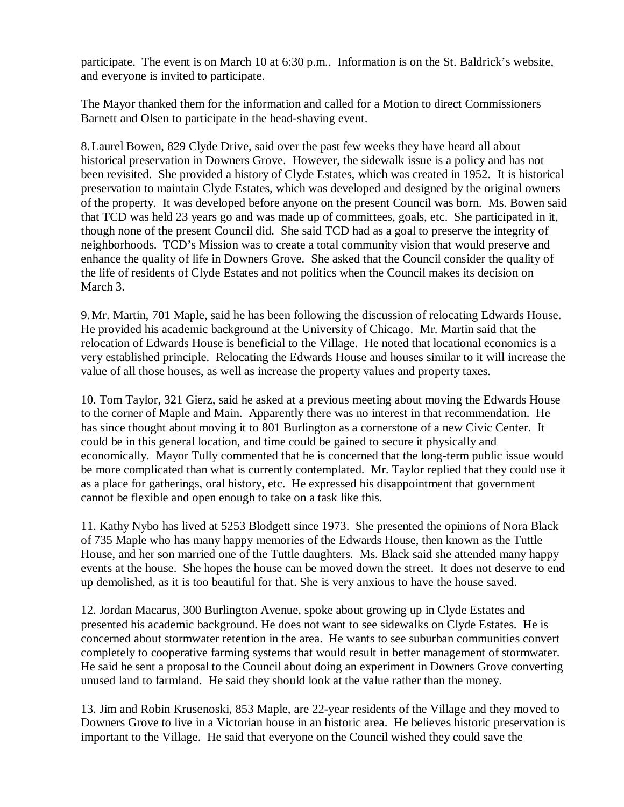participate. The event is on March 10 at 6:30 p.m.. Information is on the St. Baldrick's website, and everyone is invited to participate.

The Mayor thanked them for the information and called for a Motion to direct Commissioners Barnett and Olsen to participate in the head-shaving event.

8. Laurel Bowen, 829 Clyde Drive, said over the past few weeks they have heard all about historical preservation in Downers Grove. However, the sidewalk issue is a policy and has not been revisited. She provided a history of Clyde Estates, which was created in 1952. It is historical preservation to maintain Clyde Estates, which was developed and designed by the original owners of the property. It was developed before anyone on the present Council was born. Ms. Bowen said that TCD was held 23 years go and was made up of committees, goals, etc. She participated in it, though none of the present Council did. She said TCD had as a goal to preserve the integrity of neighborhoods. TCD's Mission was to create a total community vision that would preserve and enhance the quality of life in Downers Grove. She asked that the Council consider the quality of the life of residents of Clyde Estates and not politics when the Council makes its decision on March 3.

9. Mr. Martin, 701 Maple, said he has been following the discussion of relocating Edwards House. He provided his academic background at the University of Chicago. Mr. Martin said that the relocation of Edwards House is beneficial to the Village. He noted that locational economics is a very established principle. Relocating the Edwards House and houses similar to it will increase the value of all those houses, as well as increase the property values and property taxes.

10. Tom Taylor, 321 Gierz, said he asked at a previous meeting about moving the Edwards House to the corner of Maple and Main. Apparently there was no interest in that recommendation. He has since thought about moving it to 801 Burlington as a cornerstone of a new Civic Center. It could be in this general location, and time could be gained to secure it physically and economically. Mayor Tully commented that he is concerned that the long-term public issue would be more complicated than what is currently contemplated. Mr. Taylor replied that they could use it as a place for gatherings, oral history, etc. He expressed his disappointment that government cannot be flexible and open enough to take on a task like this.

11. Kathy Nybo has lived at 5253 Blodgett since 1973. She presented the opinions of Nora Black of 735 Maple who has many happy memories of the Edwards House, then known as the Tuttle House, and her son married one of the Tuttle daughters. Ms. Black said she attended many happy events at the house. She hopes the house can be moved down the street. It does not deserve to end up demolished, as it is too beautiful for that. She is very anxious to have the house saved.

12. Jordan Macarus, 300 Burlington Avenue, spoke about growing up in Clyde Estates and presented his academic background. He does not want to see sidewalks on Clyde Estates. He is concerned about stormwater retention in the area. He wants to see suburban communities convert completely to cooperative farming systems that would result in better management of stormwater. He said he sent a proposal to the Council about doing an experiment in Downers Grove converting unused land to farmland. He said they should look at the value rather than the money.

13. Jim and Robin Krusenoski, 853 Maple, are 22-year residents of the Village and they moved to Downers Grove to live in a Victorian house in an historic area. He believes historic preservation is important to the Village. He said that everyone on the Council wished they could save the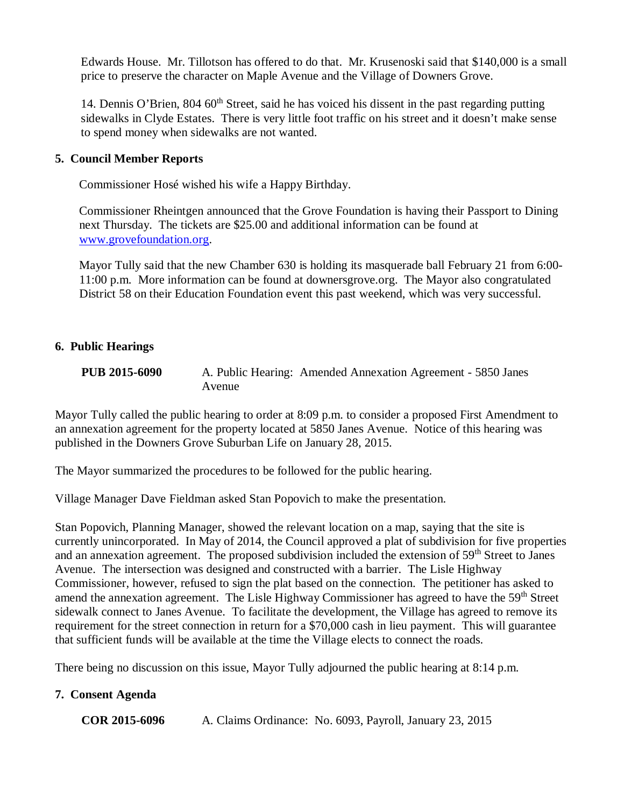Edwards House. Mr. Tillotson has offered to do that. Mr. Krusenoski said that \$140,000 is a small price to preserve the character on Maple Avenue and the Village of Downers Grove.

14. Dennis O'Brien,  $804\,60^{th}$  Street, said he has voiced his dissent in the past regarding putting sidewalks in Clyde Estates. There is very little foot traffic on his street and it doesn't make sense to spend money when sidewalks are not wanted.

### **5. Council Member Reports**

Commissioner Hosé wished his wife a Happy Birthday.

 Commissioner Rheintgen announced that the Grove Foundation is having their Passport to Dining next Thursday. The tickets are \$25.00 and additional information can be found at www.grovefoundation.org.

 Mayor Tully said that the new Chamber 630 is holding its masquerade ball February 21 from 6:00- 11:00 p.m. More information can be found at downersgrove.org. The Mayor also congratulated District 58 on their Education Foundation event this past weekend, which was very successful.

### **6. Public Hearings**

**PUB 2015-6090** A. Public Hearing: Amended Annexation Agreement - 5850 Janes Avenue

Mayor Tully called the public hearing to order at 8:09 p.m. to consider a proposed First Amendment to an annexation agreement for the property located at 5850 Janes Avenue. Notice of this hearing was published in the Downers Grove Suburban Life on January 28, 2015.

The Mayor summarized the procedures to be followed for the public hearing.

Village Manager Dave Fieldman asked Stan Popovich to make the presentation.

Stan Popovich, Planning Manager, showed the relevant location on a map, saying that the site is currently unincorporated. In May of 2014, the Council approved a plat of subdivision for five properties and an annexation agreement. The proposed subdivision included the extension of 59<sup>th</sup> Street to Janes Avenue. The intersection was designed and constructed with a barrier. The Lisle Highway Commissioner, however, refused to sign the plat based on the connection. The petitioner has asked to amend the annexation agreement. The Lisle Highway Commissioner has agreed to have the 59<sup>th</sup> Street sidewalk connect to Janes Avenue. To facilitate the development, the Village has agreed to remove its requirement for the street connection in return for a \$70,000 cash in lieu payment. This will guarantee that sufficient funds will be available at the time the Village elects to connect the roads.

There being no discussion on this issue, Mayor Tully adjourned the public hearing at 8:14 p.m.

### **7. Consent Agenda**

**COR 2015-6096** A. Claims Ordinance: No. 6093, Payroll, January 23, 2015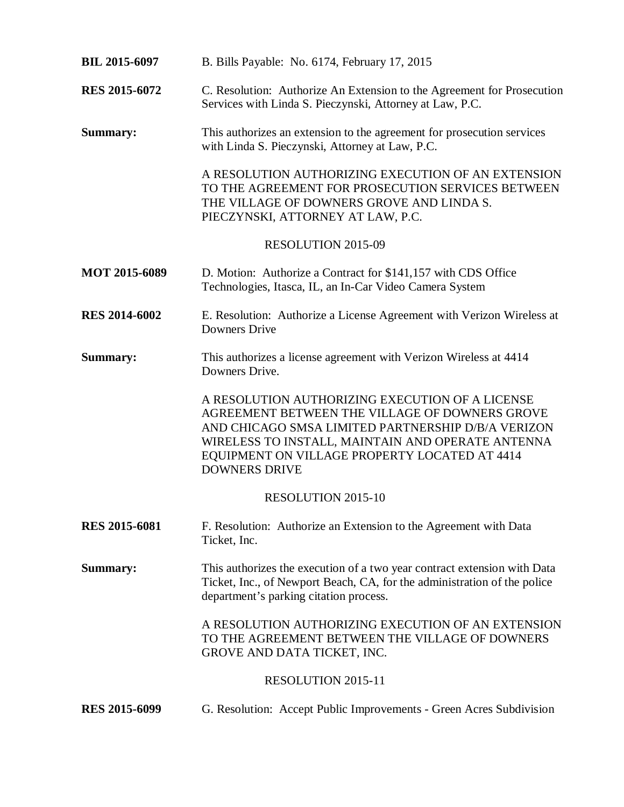| <b>BIL 2015-6097</b> | B. Bills Payable: No. 6174, February 17, 2015                                                                                                                                                                                                                                         |
|----------------------|---------------------------------------------------------------------------------------------------------------------------------------------------------------------------------------------------------------------------------------------------------------------------------------|
| <b>RES 2015-6072</b> | C. Resolution: Authorize An Extension to the Agreement for Prosecution<br>Services with Linda S. Pieczynski, Attorney at Law, P.C.                                                                                                                                                    |
| <b>Summary:</b>      | This authorizes an extension to the agreement for prosecution services<br>with Linda S. Pieczynski, Attorney at Law, P.C.                                                                                                                                                             |
|                      | A RESOLUTION AUTHORIZING EXECUTION OF AN EXTENSION<br>TO THE AGREEMENT FOR PROSECUTION SERVICES BETWEEN<br>THE VILLAGE OF DOWNERS GROVE AND LINDA S.<br>PIECZYNSKI, ATTORNEY AT LAW, P.C.                                                                                             |
|                      | RESOLUTION 2015-09                                                                                                                                                                                                                                                                    |
| <b>MOT 2015-6089</b> | D. Motion: Authorize a Contract for \$141,157 with CDS Office<br>Technologies, Itasca, IL, an In-Car Video Camera System                                                                                                                                                              |
| <b>RES 2014-6002</b> | E. Resolution: Authorize a License Agreement with Verizon Wireless at<br><b>Downers Drive</b>                                                                                                                                                                                         |
| <b>Summary:</b>      | This authorizes a license agreement with Verizon Wireless at 4414<br>Downers Drive.                                                                                                                                                                                                   |
|                      | A RESOLUTION AUTHORIZING EXECUTION OF A LICENSE<br>AGREEMENT BETWEEN THE VILLAGE OF DOWNERS GROVE<br>AND CHICAGO SMSA LIMITED PARTNERSHIP D/B/A VERIZON<br>WIRELESS TO INSTALL, MAINTAIN AND OPERATE ANTENNA<br>EQUIPMENT ON VILLAGE PROPERTY LOCATED AT 4414<br><b>DOWNERS DRIVE</b> |
|                      | <b>RESOLUTION 2015-10</b>                                                                                                                                                                                                                                                             |
| <b>RES 2015-6081</b> | F. Resolution: Authorize an Extension to the Agreement with Data<br>Ticket, Inc.                                                                                                                                                                                                      |
| Summary:             | This authorizes the execution of a two year contract extension with Data<br>Ticket, Inc., of Newport Beach, CA, for the administration of the police<br>department's parking citation process.                                                                                        |
|                      | A RESOLUTION AUTHORIZING EXECUTION OF AN EXTENSION<br>TO THE AGREEMENT BETWEEN THE VILLAGE OF DOWNERS<br>GROVE AND DATA TICKET, INC.                                                                                                                                                  |
|                      | <b>RESOLUTION 2015-11</b>                                                                                                                                                                                                                                                             |
| <b>RES 2015-6099</b> | G. Resolution: Accept Public Improvements - Green Acres Subdivision                                                                                                                                                                                                                   |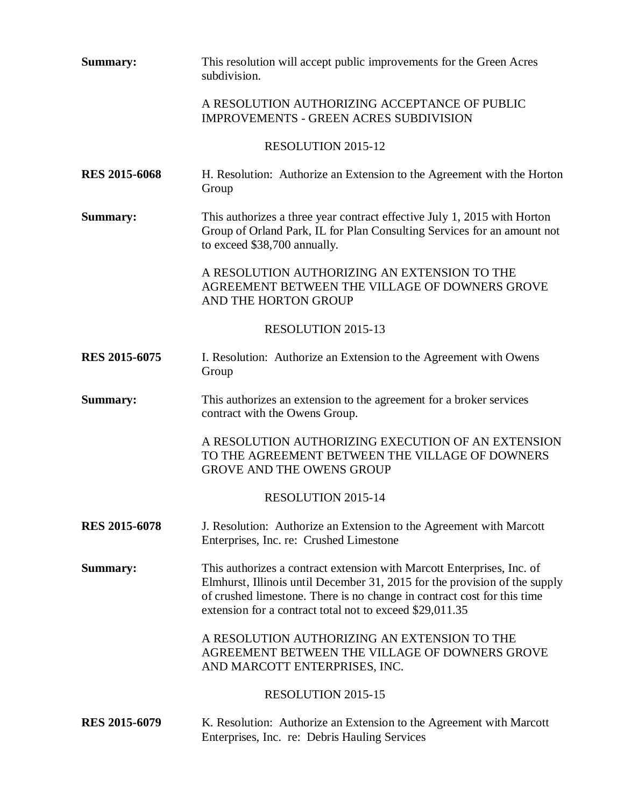| Summary:                  | This resolution will accept public improvements for the Green Acres<br>subdivision.                                                                                                                                                                                                         |  |
|---------------------------|---------------------------------------------------------------------------------------------------------------------------------------------------------------------------------------------------------------------------------------------------------------------------------------------|--|
|                           | A RESOLUTION AUTHORIZING ACCEPTANCE OF PUBLIC<br><b>IMPROVEMENTS - GREEN ACRES SUBDIVISION</b>                                                                                                                                                                                              |  |
|                           | <b>RESOLUTION 2015-12</b>                                                                                                                                                                                                                                                                   |  |
| <b>RES 2015-6068</b>      | H. Resolution: Authorize an Extension to the Agreement with the Horton<br>Group                                                                                                                                                                                                             |  |
| Summary:                  | This authorizes a three year contract effective July 1, 2015 with Horton<br>Group of Orland Park, IL for Plan Consulting Services for an amount not<br>to exceed \$38,700 annually.                                                                                                         |  |
|                           | A RESOLUTION AUTHORIZING AN EXTENSION TO THE<br>AGREEMENT BETWEEN THE VILLAGE OF DOWNERS GROVE<br>AND THE HORTON GROUP                                                                                                                                                                      |  |
|                           | RESOLUTION 2015-13                                                                                                                                                                                                                                                                          |  |
| <b>RES 2015-6075</b>      | I. Resolution: Authorize an Extension to the Agreement with Owens<br>Group                                                                                                                                                                                                                  |  |
| <b>Summary:</b>           | This authorizes an extension to the agreement for a broker services<br>contract with the Owens Group.                                                                                                                                                                                       |  |
|                           | A RESOLUTION AUTHORIZING EXECUTION OF AN EXTENSION<br>TO THE AGREEMENT BETWEEN THE VILLAGE OF DOWNERS<br><b>GROVE AND THE OWENS GROUP</b>                                                                                                                                                   |  |
|                           | <b>RESOLUTION 2015-14</b>                                                                                                                                                                                                                                                                   |  |
| <b>RES 2015-6078</b>      | J. Resolution: Authorize an Extension to the Agreement with Marcott<br>Enterprises, Inc. re: Crushed Limestone                                                                                                                                                                              |  |
| <b>Summary:</b>           | This authorizes a contract extension with Marcott Enterprises, Inc. of<br>Elmhurst, Illinois until December 31, 2015 for the provision of the supply<br>of crushed limestone. There is no change in contract cost for this time<br>extension for a contract total not to exceed \$29,011.35 |  |
|                           | A RESOLUTION AUTHORIZING AN EXTENSION TO THE<br>AGREEMENT BETWEEN THE VILLAGE OF DOWNERS GROVE<br>AND MARCOTT ENTERPRISES, INC.                                                                                                                                                             |  |
| <b>RESOLUTION 2015-15</b> |                                                                                                                                                                                                                                                                                             |  |
| <b>RES 2015-6079</b>      | K. Resolution: Authorize an Extension to the Agreement with Marcott<br>Enterprises, Inc. re: Debris Hauling Services                                                                                                                                                                        |  |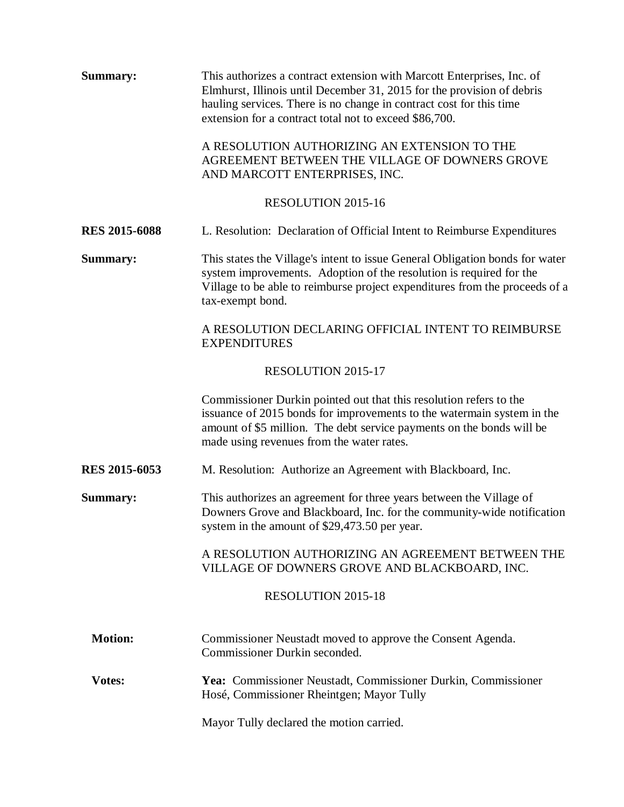| Summary:             | This authorizes a contract extension with Marcott Enterprises, Inc. of<br>Elmhurst, Illinois until December 31, 2015 for the provision of debris<br>hauling services. There is no change in contract cost for this time<br>extension for a contract total not to exceed \$86,700. |  |  |  |
|----------------------|-----------------------------------------------------------------------------------------------------------------------------------------------------------------------------------------------------------------------------------------------------------------------------------|--|--|--|
|                      | A RESOLUTION AUTHORIZING AN EXTENSION TO THE<br>AGREEMENT BETWEEN THE VILLAGE OF DOWNERS GROVE<br>AND MARCOTT ENTERPRISES, INC.                                                                                                                                                   |  |  |  |
| RESOLUTION 2015-16   |                                                                                                                                                                                                                                                                                   |  |  |  |
| <b>RES 2015-6088</b> | L. Resolution: Declaration of Official Intent to Reimburse Expenditures                                                                                                                                                                                                           |  |  |  |
| <b>Summary:</b>      | This states the Village's intent to issue General Obligation bonds for water<br>system improvements. Adoption of the resolution is required for the<br>Village to be able to reimburse project expenditures from the proceeds of a<br>tax-exempt bond.                            |  |  |  |
|                      | A RESOLUTION DECLARING OFFICIAL INTENT TO REIMBURSE<br><b>EXPENDITURES</b>                                                                                                                                                                                                        |  |  |  |
|                      | RESOLUTION 2015-17                                                                                                                                                                                                                                                                |  |  |  |
|                      | Commissioner Durkin pointed out that this resolution refers to the<br>issuance of 2015 bonds for improvements to the watermain system in the<br>amount of \$5 million. The debt service payments on the bonds will be<br>made using revenues from the water rates.                |  |  |  |
| <b>RES 2015-6053</b> | M. Resolution: Authorize an Agreement with Blackboard, Inc.                                                                                                                                                                                                                       |  |  |  |
| Summary:             | This authorizes an agreement for three years between the Village of<br>Downers Grove and Blackboard, Inc. for the community-wide notification<br>system in the amount of \$29,473.50 per year.                                                                                    |  |  |  |
|                      | A RESOLUTION AUTHORIZING AN AGREEMENT BETWEEN THE<br>VILLAGE OF DOWNERS GROVE AND BLACKBOARD, INC.                                                                                                                                                                                |  |  |  |
|                      | <b>RESOLUTION 2015-18</b>                                                                                                                                                                                                                                                         |  |  |  |
| <b>Motion:</b>       | Commissioner Neustadt moved to approve the Consent Agenda.<br>Commissioner Durkin seconded.                                                                                                                                                                                       |  |  |  |
| Votes:               | Yea: Commissioner Neustadt, Commissioner Durkin, Commissioner<br>Hosé, Commissioner Rheintgen; Mayor Tully                                                                                                                                                                        |  |  |  |
|                      | Mayor Tully declared the motion carried.                                                                                                                                                                                                                                          |  |  |  |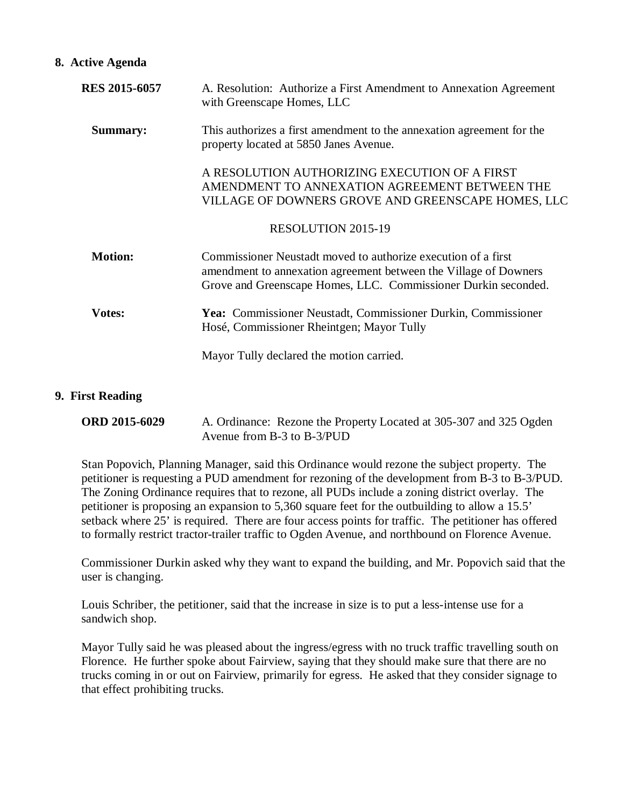#### **8. Active Agenda**

| <b>RES 2015-6057</b> | A. Resolution: Authorize a First Amendment to Annexation Agreement<br>with Greenscape Homes, LLC                                                                                                    |
|----------------------|-----------------------------------------------------------------------------------------------------------------------------------------------------------------------------------------------------|
| <b>Summary:</b>      | This authorizes a first amendment to the annexation agreement for the<br>property located at 5850 Janes Avenue.                                                                                     |
|                      | A RESOLUTION AUTHORIZING EXECUTION OF A FIRST<br>AMENDMENT TO ANNEXATION AGREEMENT BETWEEN THE<br>VILLAGE OF DOWNERS GROVE AND GREENSCAPE HOMES, LLC                                                |
|                      | <b>RESOLUTION 2015-19</b>                                                                                                                                                                           |
| <b>Motion:</b>       | Commissioner Neustadt moved to authorize execution of a first<br>amendment to annexation agreement between the Village of Downers<br>Grove and Greenscape Homes, LLC. Commissioner Durkin seconded. |
| <b>Votes:</b>        | Yea: Commissioner Neustadt, Commissioner Durkin, Commissioner<br>Hosé, Commissioner Rheintgen; Mayor Tully                                                                                          |
|                      | Mayor Tully declared the motion carried.                                                                                                                                                            |

#### **9. First Reading**

| <b>ORD 2015-6029</b> | A. Ordinance: Rezone the Property Located at 305-307 and 325 Ogden |
|----------------------|--------------------------------------------------------------------|
|                      | Avenue from B-3 to B- $3/PUD$                                      |

Stan Popovich, Planning Manager, said this Ordinance would rezone the subject property. The petitioner is requesting a PUD amendment for rezoning of the development from B-3 to B-3/PUD. The Zoning Ordinance requires that to rezone, all PUDs include a zoning district overlay. The petitioner is proposing an expansion to 5,360 square feet for the outbuilding to allow a 15.5' setback where 25' is required. There are four access points for traffic. The petitioner has offered to formally restrict tractor-trailer traffic to Ogden Avenue, and northbound on Florence Avenue.

Commissioner Durkin asked why they want to expand the building, and Mr. Popovich said that the user is changing.

Louis Schriber, the petitioner, said that the increase in size is to put a less-intense use for a sandwich shop.

Mayor Tully said he was pleased about the ingress/egress with no truck traffic travelling south on Florence. He further spoke about Fairview, saying that they should make sure that there are no trucks coming in or out on Fairview, primarily for egress. He asked that they consider signage to that effect prohibiting trucks.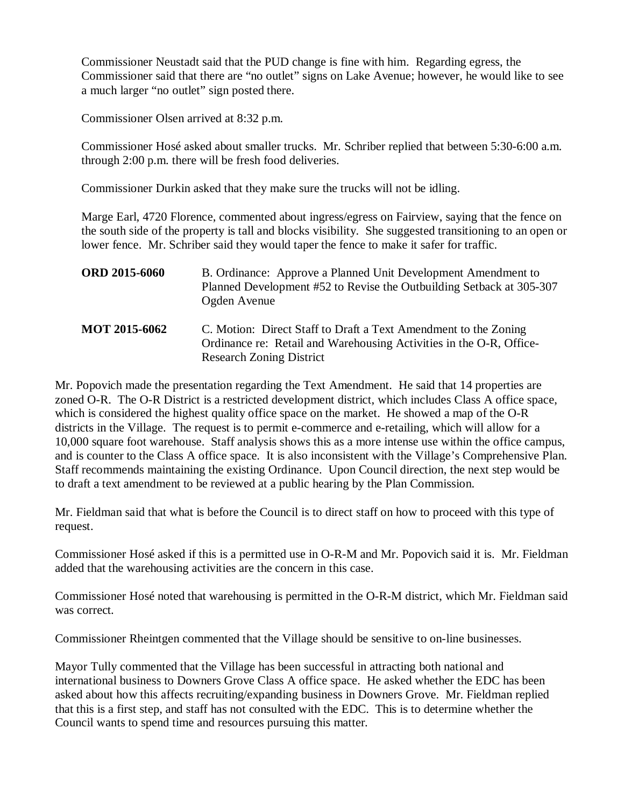Commissioner Neustadt said that the PUD change is fine with him. Regarding egress, the Commissioner said that there are "no outlet" signs on Lake Avenue; however, he would like to see a much larger "no outlet" sign posted there.

Commissioner Olsen arrived at 8:32 p.m.

Commissioner Hosé asked about smaller trucks. Mr. Schriber replied that between 5:30-6:00 a.m. through 2:00 p.m. there will be fresh food deliveries.

Commissioner Durkin asked that they make sure the trucks will not be idling.

Marge Earl, 4720 Florence, commented about ingress/egress on Fairview, saying that the fence on the south side of the property is tall and blocks visibility. She suggested transitioning to an open or lower fence. Mr. Schriber said they would taper the fence to make it safer for traffic.

| <b>ORD 2015-6060</b> | B. Ordinance: Approve a Planned Unit Development Amendment to<br>Planned Development #52 to Revise the Outbuilding Setback at 305-307<br>Ogden Avenue                     |
|----------------------|---------------------------------------------------------------------------------------------------------------------------------------------------------------------------|
| <b>MOT 2015-6062</b> | C. Motion: Direct Staff to Draft a Text Amendment to the Zoning<br>Ordinance re: Retail and Warehousing Activities in the O-R, Office-<br><b>Research Zoning District</b> |

Mr. Popovich made the presentation regarding the Text Amendment. He said that 14 properties are zoned O-R. The O-R District is a restricted development district, which includes Class A office space, which is considered the highest quality office space on the market. He showed a map of the O-R districts in the Village. The request is to permit e-commerce and e-retailing, which will allow for a 10,000 square foot warehouse. Staff analysis shows this as a more intense use within the office campus, and is counter to the Class A office space. It is also inconsistent with the Village's Comprehensive Plan. Staff recommends maintaining the existing Ordinance. Upon Council direction, the next step would be to draft a text amendment to be reviewed at a public hearing by the Plan Commission.

Mr. Fieldman said that what is before the Council is to direct staff on how to proceed with this type of request.

Commissioner Hosé asked if this is a permitted use in O-R-M and Mr. Popovich said it is. Mr. Fieldman added that the warehousing activities are the concern in this case.

Commissioner Hosé noted that warehousing is permitted in the O-R-M district, which Mr. Fieldman said was correct.

Commissioner Rheintgen commented that the Village should be sensitive to on-line businesses.

Mayor Tully commented that the Village has been successful in attracting both national and international business to Downers Grove Class A office space. He asked whether the EDC has been asked about how this affects recruiting/expanding business in Downers Grove. Mr. Fieldman replied that this is a first step, and staff has not consulted with the EDC. This is to determine whether the Council wants to spend time and resources pursuing this matter.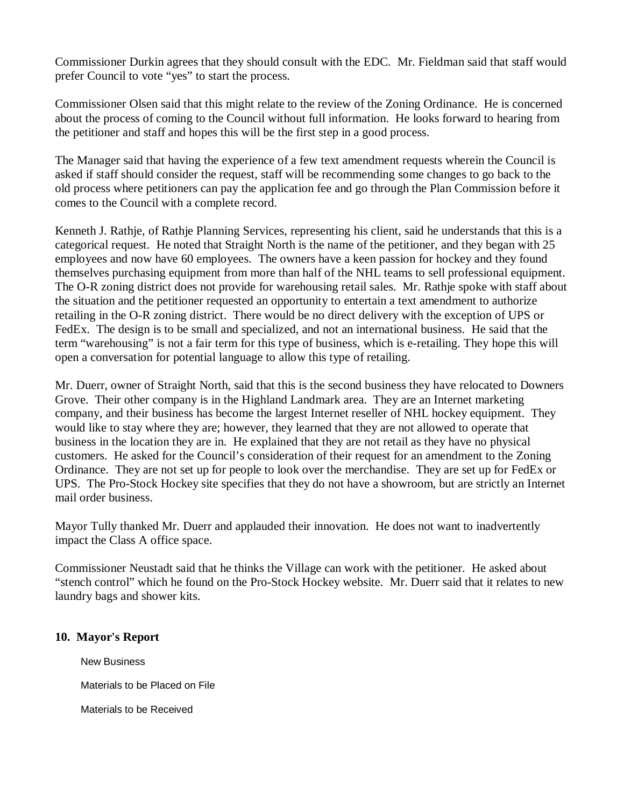Commissioner Durkin agrees that they should consult with the EDC. Mr. Fieldman said that staff would prefer Council to vote "yes" to start the process.

Commissioner Olsen said that this might relate to the review of the Zoning Ordinance. He is concerned about the process of coming to the Council without full information. He looks forward to hearing from the petitioner and staff and hopes this will be the first step in a good process.

The Manager said that having the experience of a few text amendment requests wherein the Council is asked if staff should consider the request, staff will be recommending some changes to go back to the old process where petitioners can pay the application fee and go through the Plan Commission before it comes to the Council with a complete record.

Kenneth J. Rathje, of Rathje Planning Services, representing his client, said he understands that this is a categorical request. He noted that Straight North is the name of the petitioner, and they began with 25 employees and now have 60 employees. The owners have a keen passion for hockey and they found themselves purchasing equipment from more than half of the NHL teams to sell professional equipment. The O-R zoning district does not provide for warehousing retail sales. Mr. Rathie spoke with staff about the situation and the petitioner requested an opportunity to entertain a text amendment to authorize retailing in the O-R zoning district. There would be no direct delivery with the exception of UPS or FedEx. The design is to be small and specialized, and not an international business. He said that the term "warehousing" is not a fair term for this type of business, which is e-retailing. They hope this will open a conversation for potential language to allow this type of retailing.

Mr. Duerr, owner of Straight North, said that this is the second business they have relocated to Downers Grove. Their other company is in the Highland Landmark area. They are an Internet marketing company, and their business has become the largest Internet reseller of NHL hockey equipment. They would like to stay where they are; however, they learned that they are not allowed to operate that business in the location they are in. He explained that they are not retail as they have no physical customers. He asked for the Council's consideration of their request for an amendment to the Zoning Ordinance. They are not set up for people to look over the merchandise. They are set up for FedEx or UPS. The Pro-Stock Hockey site specifies that they do not have a showroom, but are strictly an Internet mail order business.

Mayor Tully thanked Mr. Duerr and applauded their innovation. He does not want to inadvertently impact the Class A office space.

Commissioner Neustadt said that he thinks the Village can work with the petitioner. He asked about "stench control" which he found on the Pro-Stock Hockey website. Mr. Duerr said that it relates to new laundry bags and shower kits.

### **10. Mayor's Report**

New Business

Materials to be Placed on File

Materials to be Received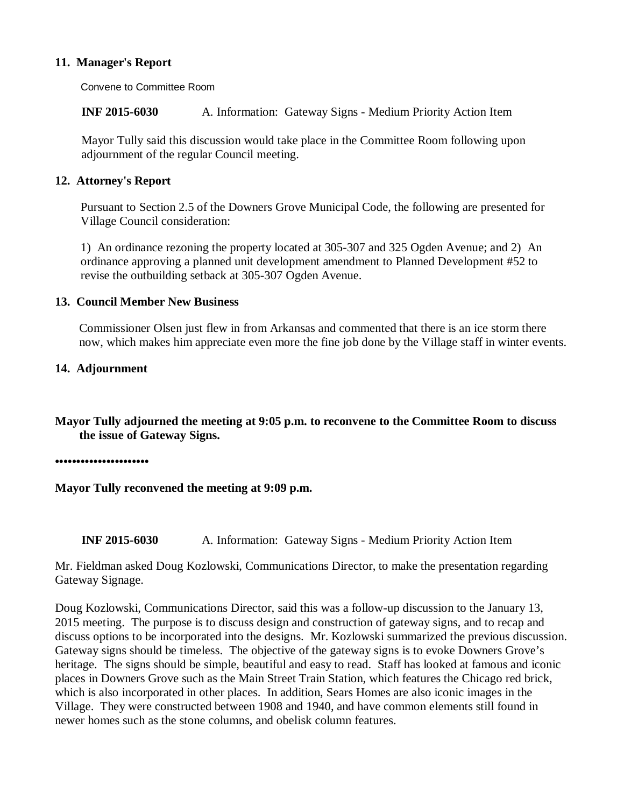### **11. Manager's Report**

Convene to Committee Room

**INF 2015-6030** A. Information: Gateway Signs - Medium Priority Action Item

Mayor Tully said this discussion would take place in the Committee Room following upon adjournment of the regular Council meeting.

### **12. Attorney's Report**

Pursuant to Section 2.5 of the Downers Grove Municipal Code, the following are presented for Village Council consideration:

1) An ordinance rezoning the property located at 305-307 and 325 Ogden Avenue; and 2) An ordinance approving a planned unit development amendment to Planned Development #52 to revise the outbuilding setback at 305-307 Ogden Avenue.

### **13. Council Member New Business**

Commissioner Olsen just flew in from Arkansas and commented that there is an ice storm there now, which makes him appreciate even more the fine job done by the Village staff in winter events.

### **14. Adjournment**

**Mayor Tully adjourned the meeting at 9:05 p.m. to reconvene to the Committee Room to discuss the issue of Gateway Signs.** 

**••••••••••••••••••••••** 

**Mayor Tully reconvened the meeting at 9:09 p.m.** 

**INF 2015-6030** A. Information: Gateway Signs - Medium Priority Action Item

Mr. Fieldman asked Doug Kozlowski, Communications Director, to make the presentation regarding Gateway Signage.

Doug Kozlowski, Communications Director, said this was a follow-up discussion to the January 13, 2015 meeting. The purpose is to discuss design and construction of gateway signs, and to recap and discuss options to be incorporated into the designs. Mr. Kozlowski summarized the previous discussion. Gateway signs should be timeless. The objective of the gateway signs is to evoke Downers Grove's heritage. The signs should be simple, beautiful and easy to read. Staff has looked at famous and iconic places in Downers Grove such as the Main Street Train Station, which features the Chicago red brick, which is also incorporated in other places. In addition, Sears Homes are also iconic images in the Village. They were constructed between 1908 and 1940, and have common elements still found in newer homes such as the stone columns, and obelisk column features.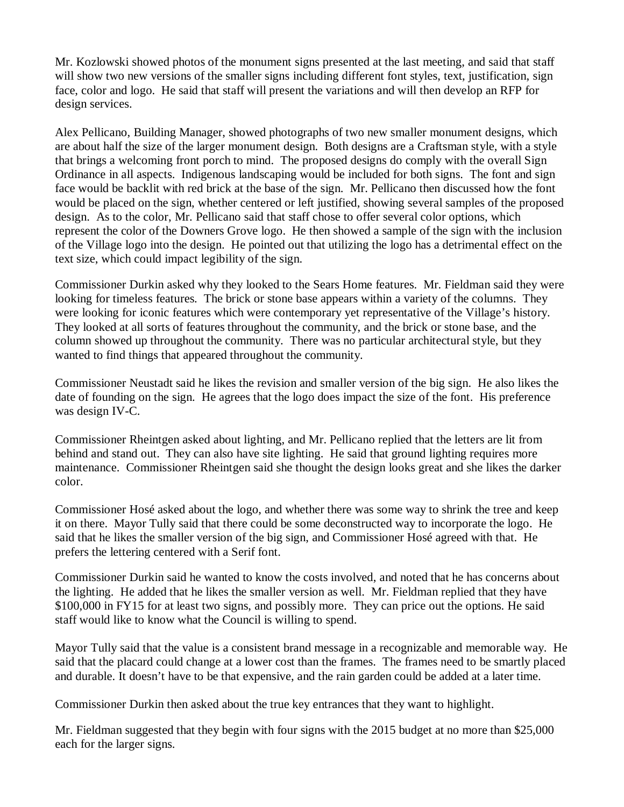Mr. Kozlowski showed photos of the monument signs presented at the last meeting, and said that staff will show two new versions of the smaller signs including different font styles, text, justification, sign face, color and logo. He said that staff will present the variations and will then develop an RFP for design services.

Alex Pellicano, Building Manager, showed photographs of two new smaller monument designs, which are about half the size of the larger monument design. Both designs are a Craftsman style, with a style that brings a welcoming front porch to mind. The proposed designs do comply with the overall Sign Ordinance in all aspects. Indigenous landscaping would be included for both signs. The font and sign face would be backlit with red brick at the base of the sign. Mr. Pellicano then discussed how the font would be placed on the sign, whether centered or left justified, showing several samples of the proposed design. As to the color, Mr. Pellicano said that staff chose to offer several color options, which represent the color of the Downers Grove logo. He then showed a sample of the sign with the inclusion of the Village logo into the design. He pointed out that utilizing the logo has a detrimental effect on the text size, which could impact legibility of the sign.

Commissioner Durkin asked why they looked to the Sears Home features. Mr. Fieldman said they were looking for timeless features. The brick or stone base appears within a variety of the columns. They were looking for iconic features which were contemporary yet representative of the Village's history. They looked at all sorts of features throughout the community, and the brick or stone base, and the column showed up throughout the community. There was no particular architectural style, but they wanted to find things that appeared throughout the community.

Commissioner Neustadt said he likes the revision and smaller version of the big sign. He also likes the date of founding on the sign. He agrees that the logo does impact the size of the font. His preference was design IV-C.

Commissioner Rheintgen asked about lighting, and Mr. Pellicano replied that the letters are lit from behind and stand out. They can also have site lighting. He said that ground lighting requires more maintenance. Commissioner Rheintgen said she thought the design looks great and she likes the darker color.

Commissioner Hosé asked about the logo, and whether there was some way to shrink the tree and keep it on there. Mayor Tully said that there could be some deconstructed way to incorporate the logo. He said that he likes the smaller version of the big sign, and Commissioner Hosé agreed with that. He prefers the lettering centered with a Serif font.

Commissioner Durkin said he wanted to know the costs involved, and noted that he has concerns about the lighting. He added that he likes the smaller version as well. Mr. Fieldman replied that they have \$100,000 in FY15 for at least two signs, and possibly more. They can price out the options. He said staff would like to know what the Council is willing to spend.

Mayor Tully said that the value is a consistent brand message in a recognizable and memorable way. He said that the placard could change at a lower cost than the frames. The frames need to be smartly placed and durable. It doesn't have to be that expensive, and the rain garden could be added at a later time.

Commissioner Durkin then asked about the true key entrances that they want to highlight.

Mr. Fieldman suggested that they begin with four signs with the 2015 budget at no more than \$25,000 each for the larger signs.